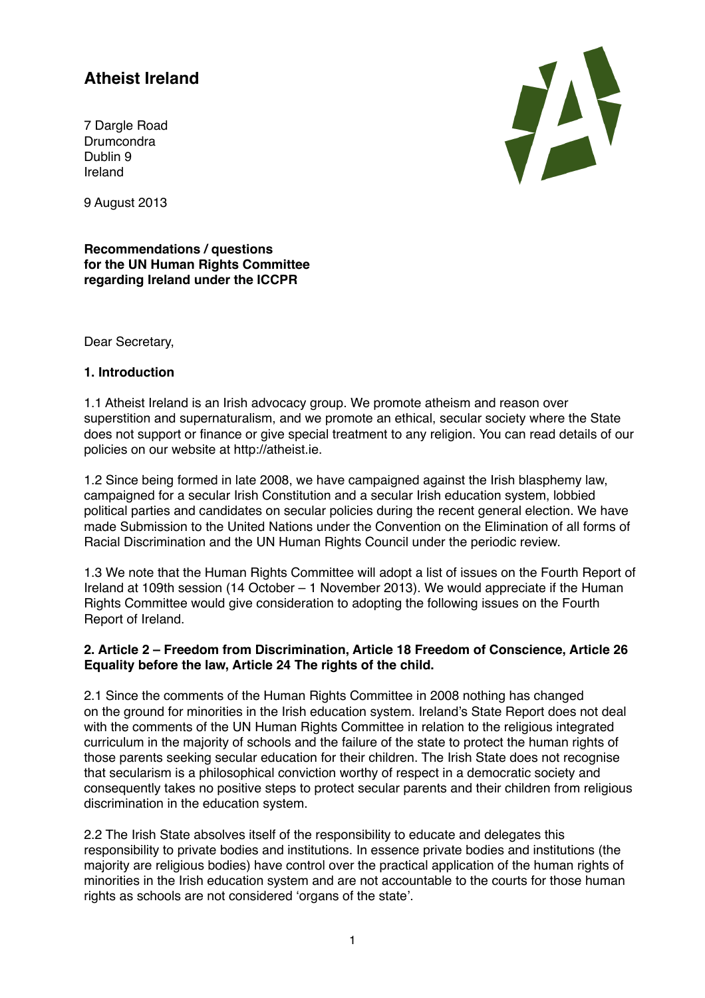# **Atheist Ireland**

7 Dargle Road **Drumcondra** Dublin 9 Ireland



9 August 2013

**Recommendations / questions for the UN Human Rights Committee regarding Ireland under the ICCPR** 

Dear Secretary,

#### **1. Introduction**

1.1 Atheist Ireland is an Irish advocacy group. We promote atheism and reason over superstition and supernaturalism, and we promote an ethical, secular society where the State does not support or finance or give special treatment to any religion. You can read details of our policies on our website at [http://atheist.ie.](http://atheist.ie)

1.2 Since being formed in late 2008, we have campaigned against the Irish blasphemy law, campaigned for a secular Irish Constitution and a secular Irish education system, lobbied political parties and candidates on secular policies during the recent general election. We have made Submission to the United Nations under the Convention on the Elimination of all forms of Racial Discrimination and the UN Human Rights Council under the periodic review.

1.3 We note that the Human Rights Committee will adopt a list of issues on the Fourth Report of Ireland at 109th session (14 October – 1 November 2013). We would appreciate if the Human Rights Committee would give consideration to adopting the following issues on the Fourth Report of Ireland.

#### **2. Article 2 – Freedom from Discrimination, Article 18 Freedom of Conscience, Article 26 Equality before the law, Article 24 The rights of the child.**

2.1 Since the comments of the Human Rights Committee in 2008 nothing has changed on the ground for minorities in the Irish education system. Ireland's State Report does not deal with the comments of the UN Human Rights Committee in relation to the religious integrated curriculum in the majority of schools and the failure of the state to protect the human rights of those parents seeking secular education for their children. The Irish State does not recognise that secularism is a philosophical conviction worthy of respect in a democratic society and consequently takes no positive steps to protect secular parents and their children from religious discrimination in the education system.

2.2 The Irish State absolves itself of the responsibility to educate and delegates this responsibility to private bodies and institutions. In essence private bodies and institutions (the majority are religious bodies) have control over the practical application of the human rights of minorities in the Irish education system and are not accountable to the courts for those human rights as schools are not considered 'organs of the state'.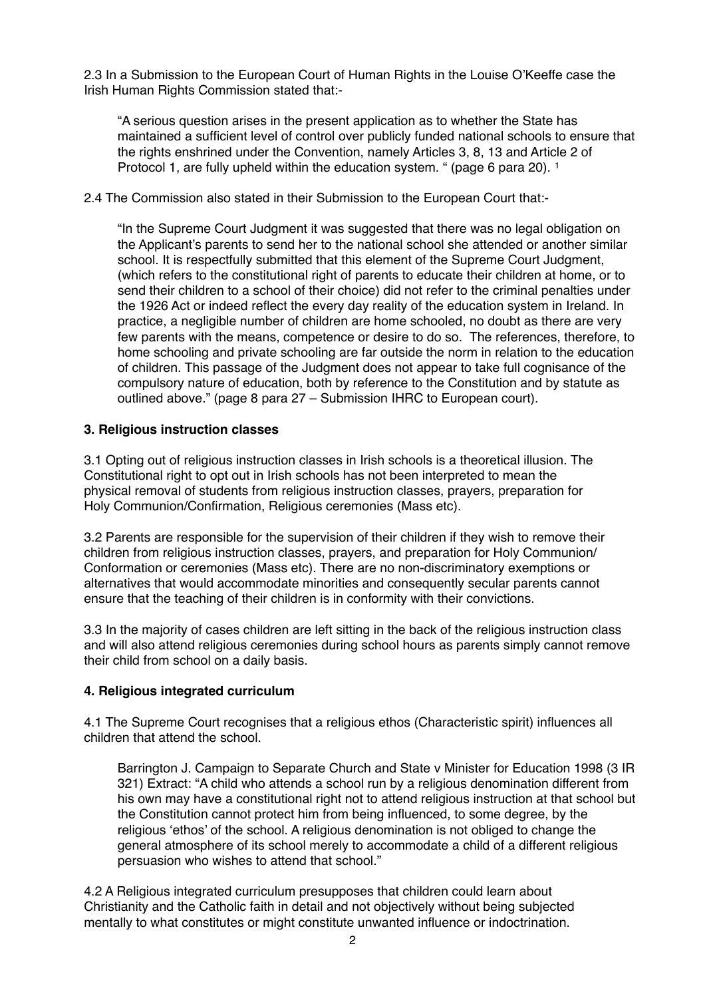2.3 In a Submission to the European Court of Human Rights in the Louise O'Keeffe case the Irish Human Rights Commission stated that:-

"A serious question arises in the present application as to whether the State has maintained a sufficient level of control over publicly funded national schools to ensure that the rights enshrined under the Convention, namely Articles 3, 8, 13 and Article 2 of Protocol [1](#page-6-0), are fully upheld within the education system. " (page 6 para 20). <sup>1</sup>

#### 2.4 The Commission also stated in their Submission to the European Court that:-

"In the Supreme Court Judgment it was suggested that there was no legal obligation on the Applicant's parents to send her to the national school she attended or another similar school. It is respectfully submitted that this element of the Supreme Court Judgment, (which refers to the constitutional right of parents to educate their children at home, or to send their children to a school of their choice) did not refer to the criminal penalties under the 1926 Act or indeed reflect the every day reality of the education system in Ireland. In practice, a negligible number of children are home schooled, no doubt as there are very few parents with the means, competence or desire to do so. The references, therefore, to home schooling and private schooling are far outside the norm in relation to the education of children. This passage of the Judgment does not appear to take full cognisance of the compulsory nature of education, both by reference to the Constitution and by statute as outlined above." (page 8 para 27 – Submission IHRC to European court).

## **3. Religious instruction classes**

3.1 Opting out of religious instruction classes in Irish schools is a theoretical illusion. The Constitutional right to opt out in Irish schools has not been interpreted to mean the physical removal of students from religious instruction classes, prayers, preparation for Holy Communion/Confirmation, Religious ceremonies (Mass etc).

3.2 Parents are responsible for the supervision of their children if they wish to remove their children from religious instruction classes, prayers, and preparation for Holy Communion/ Conformation or ceremonies (Mass etc). There are no non-discriminatory exemptions or alternatives that would accommodate minorities and consequently secular parents cannot ensure that the teaching of their children is in conformity with their convictions.

3.3 In the majority of cases children are left sitting in the back of the religious instruction class and will also attend religious ceremonies during school hours as parents simply cannot remove their child from school on a daily basis.

# **4. Religious integrated curriculum**

4.1 The Supreme Court recognises that a religious ethos (Characteristic spirit) influences all children that attend the school.

Barrington J. Campaign to Separate Church and State v Minister for Education 1998 (3 IR 321) Extract: "A child who attends a school run by a religious denomination different from his own may have a constitutional right not to attend religious instruction at that school but the Constitution cannot protect him from being influenced, to some degree, by the religious 'ethos' of the school. A religious denomination is not obliged to change the general atmosphere of its school merely to accommodate a child of a different religious persuasion who wishes to attend that school."

4.2 A Religious integrated curriculum presupposes that children could learn about Christianity and the Catholic faith in detail and not objectively without being subjected mentally to what constitutes or might constitute unwanted influence or indoctrination.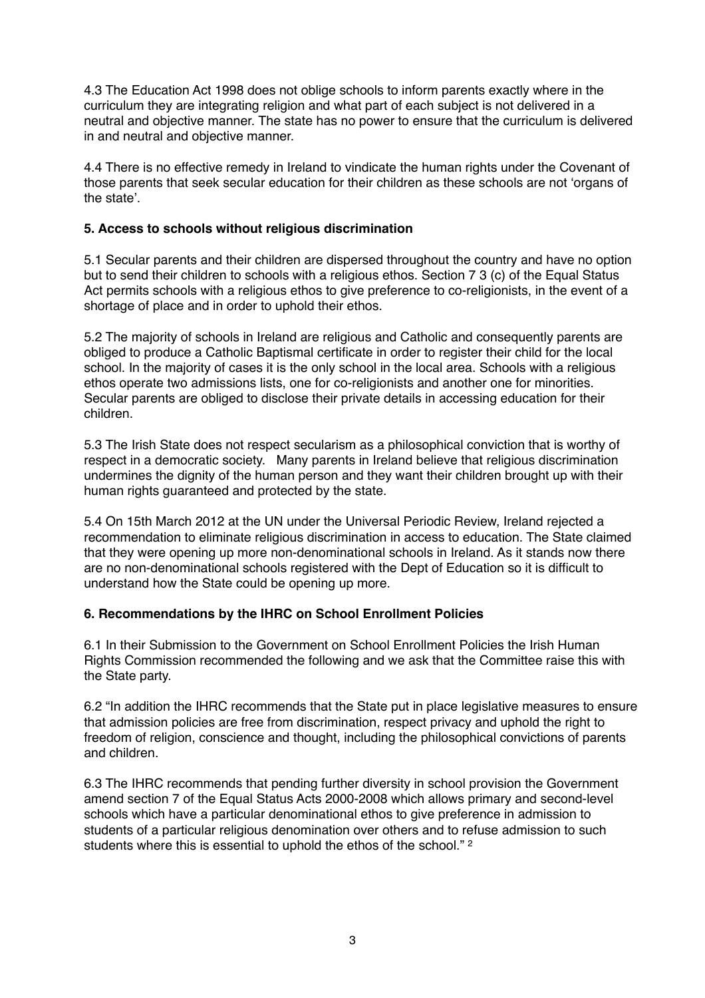4.3 The Education Act 1998 does not oblige schools to inform parents exactly where in the curriculum they are integrating religion and what part of each subject is not delivered in a neutral and objective manner. The state has no power to ensure that the curriculum is delivered in and neutral and objective manner.

4.4 There is no effective remedy in Ireland to vindicate the human rights under the Covenant of those parents that seek secular education for their children as these schools are not 'organs of the state'.

## **5. Access to schools without religious discrimination**

5.1 Secular parents and their children are dispersed throughout the country and have no option but to send their children to schools with a religious ethos. Section 7 3 (c) of the Equal Status Act permits schools with a religious ethos to give preference to co-religionists, in the event of a shortage of place and in order to uphold their ethos.

5.2 The majority of schools in Ireland are religious and Catholic and consequently parents are obliged to produce a Catholic Baptismal certificate in order to register their child for the local school. In the majority of cases it is the only school in the local area. Schools with a religious ethos operate two admissions lists, one for co-religionists and another one for minorities. Secular parents are obliged to disclose their private details in accessing education for their children.

5.3 The Irish State does not respect secularism as a philosophical conviction that is worthy of respect in a democratic society. Many parents in Ireland believe that religious discrimination undermines the dignity of the human person and they want their children brought up with their human rights guaranteed and protected by the state.

5.4 On 15th March 2012 at the UN under the Universal Periodic Review, Ireland rejected a recommendation to eliminate religious discrimination in access to education. The State claimed that they were opening up more non-denominational schools in Ireland. As it stands now there are no non-denominational schools registered with the Dept of Education so it is difficult to understand how the State could be opening up more.

#### **6. Recommendations by the IHRC on School Enrollment Policies**

6.1 In their Submission to the Government on School Enrollment Policies the Irish Human Rights Commission recommended the following and we ask that the Committee raise this with the State party.

6.2 "In addition the IHRC recommends that the State put in place legislative measures to ensure that admission policies are free from discrimination, respect privacy and uphold the right to freedom of religion, conscience and thought, including the philosophical convictions of parents and children.

6.3 The IHRC recommends that pending further diversity in school provision the Government amend section 7 of the Equal Status Acts 2000-2008 which allows primary and second-level schools which have a particular denominational ethos to give preference in admission to students of a particular religious denomination over others and to refuse admission to such students where this is essential to uphold the ethos of the school."<sup>[2](#page-6-1)</sup>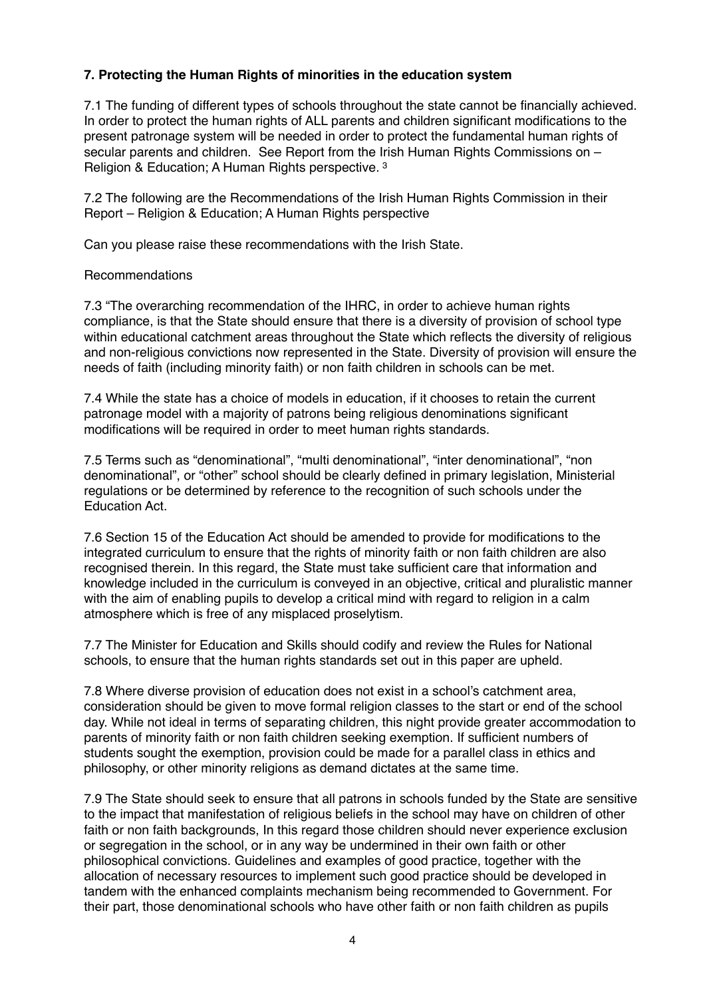## **7. Protecting the Human Rights of minorities in the education system**

7.1 The funding of different types of schools throughout the state cannot be financially achieved. In order to protect the human rights of ALL parents and children significant modifications to the present patronage system will be needed in order to protect the fundamental human rights of secular parents and children. See Report from the Irish Human Rights Commissions on – Religion & Education; A Human Rights perspective. [3](#page-6-2)

7.2 The following are the Recommendations of the Irish Human Rights Commission in their Report – Religion & Education; A Human Rights perspective

Can you please raise these recommendations with the Irish State.

#### Recommendations

7.3 "The overarching recommendation of the IHRC, in order to achieve human rights compliance, is that the State should ensure that there is a diversity of provision of school type within educational catchment areas throughout the State which reflects the diversity of religious and non-religious convictions now represented in the State. Diversity of provision will ensure the needs of faith (including minority faith) or non faith children in schools can be met.

7.4 While the state has a choice of models in education, if it chooses to retain the current patronage model with a majority of patrons being religious denominations significant modifications will be required in order to meet human rights standards.

7.5 Terms such as "denominational", "multi denominational", "inter denominational", "non denominational", or "other" school should be clearly defined in primary legislation, Ministerial regulations or be determined by reference to the recognition of such schools under the Education Act.

7.6 Section 15 of the Education Act should be amended to provide for modifications to the integrated curriculum to ensure that the rights of minority faith or non faith children are also recognised therein. In this regard, the State must take sufficient care that information and knowledge included in the curriculum is conveyed in an objective, critical and pluralistic manner with the aim of enabling pupils to develop a critical mind with regard to religion in a calm atmosphere which is free of any misplaced proselytism.

7.7 The Minister for Education and Skills should codify and review the Rules for National schools, to ensure that the human rights standards set out in this paper are upheld.

7.8 Where diverse provision of education does not exist in a school's catchment area, consideration should be given to move formal religion classes to the start or end of the school day. While not ideal in terms of separating children, this night provide greater accommodation to parents of minority faith or non faith children seeking exemption. If sufficient numbers of students sought the exemption, provision could be made for a parallel class in ethics and philosophy, or other minority religions as demand dictates at the same time.

7.9 The State should seek to ensure that all patrons in schools funded by the State are sensitive to the impact that manifestation of religious beliefs in the school may have on children of other faith or non faith backgrounds, In this regard those children should never experience exclusion or segregation in the school, or in any way be undermined in their own faith or other philosophical convictions. Guidelines and examples of good practice, together with the allocation of necessary resources to implement such good practice should be developed in tandem with the enhanced complaints mechanism being recommended to Government. For their part, those denominational schools who have other faith or non faith children as pupils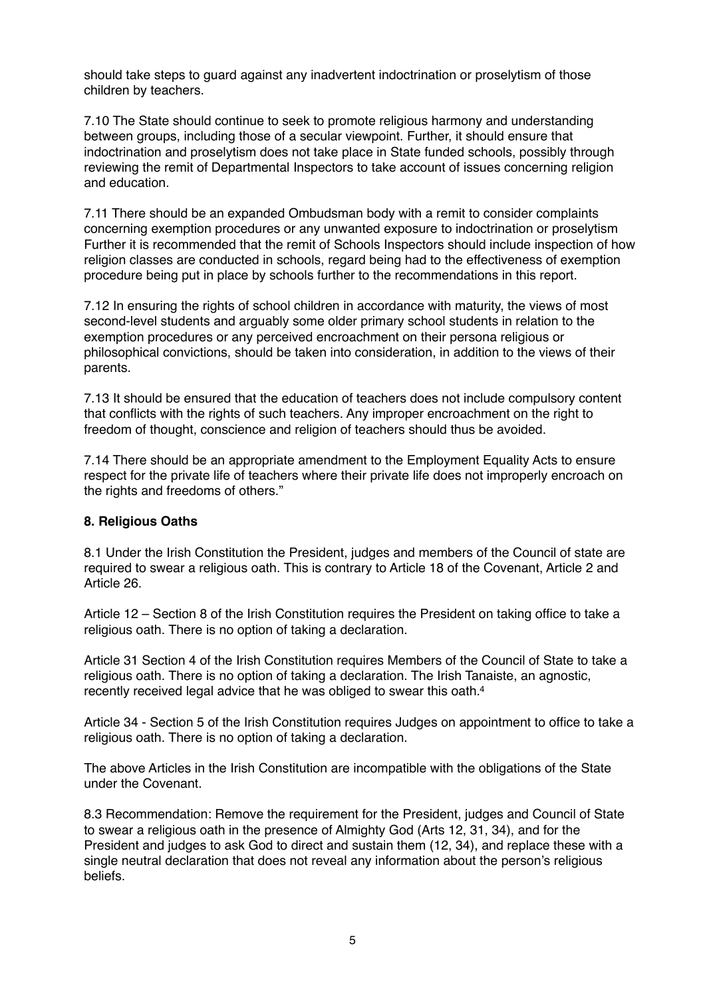should take steps to guard against any inadvertent indoctrination or proselytism of those children by teachers.

7.10 The State should continue to seek to promote religious harmony and understanding between groups, including those of a secular viewpoint. Further, it should ensure that indoctrination and proselytism does not take place in State funded schools, possibly through reviewing the remit of Departmental Inspectors to take account of issues concerning religion and education.

7.11 There should be an expanded Ombudsman body with a remit to consider complaints concerning exemption procedures or any unwanted exposure to indoctrination or proselytism Further it is recommended that the remit of Schools Inspectors should include inspection of how religion classes are conducted in schools, regard being had to the effectiveness of exemption procedure being put in place by schools further to the recommendations in this report.

7.12 In ensuring the rights of school children in accordance with maturity, the views of most second-level students and arguably some older primary school students in relation to the exemption procedures or any perceived encroachment on their persona religious or philosophical convictions, should be taken into consideration, in addition to the views of their parents.

7.13 It should be ensured that the education of teachers does not include compulsory content that conflicts with the rights of such teachers. Any improper encroachment on the right to freedom of thought, conscience and religion of teachers should thus be avoided.

7.14 There should be an appropriate amendment to the Employment Equality Acts to ensure respect for the private life of teachers where their private life does not improperly encroach on the rights and freedoms of others."

#### **8. Religious Oaths**

8.1 Under the Irish Constitution the President, judges and members of the Council of state are required to swear a religious oath. This is contrary to Article 18 of the Covenant, Article 2 and Article 26.

Article 12 – Section 8 of the Irish Constitution requires the President on taking office to take a religious oath. There is no option of taking a declaration.

Article 31 Section 4 of the Irish Constitution requires Members of the Council of State to take a religious oath. There is no option of taking a declaration. The Irish Tanaiste, an agnostic, recently received legal advice that he was obliged to swear this oath[.4](#page-6-3)

Article 34 - Section 5 of the Irish Constitution requires Judges on appointment to office to take a religious oath. There is no option of taking a declaration.

The above Articles in the Irish Constitution are incompatible with the obligations of the State under the Covenant.

8.3 Recommendation: Remove the requirement for the President, judges and Council of State to swear a religious oath in the presence of Almighty God (Arts 12, 31, 34), and for the President and judges to ask God to direct and sustain them (12, 34), and replace these with a single neutral declaration that does not reveal any information about the person's religious beliefs.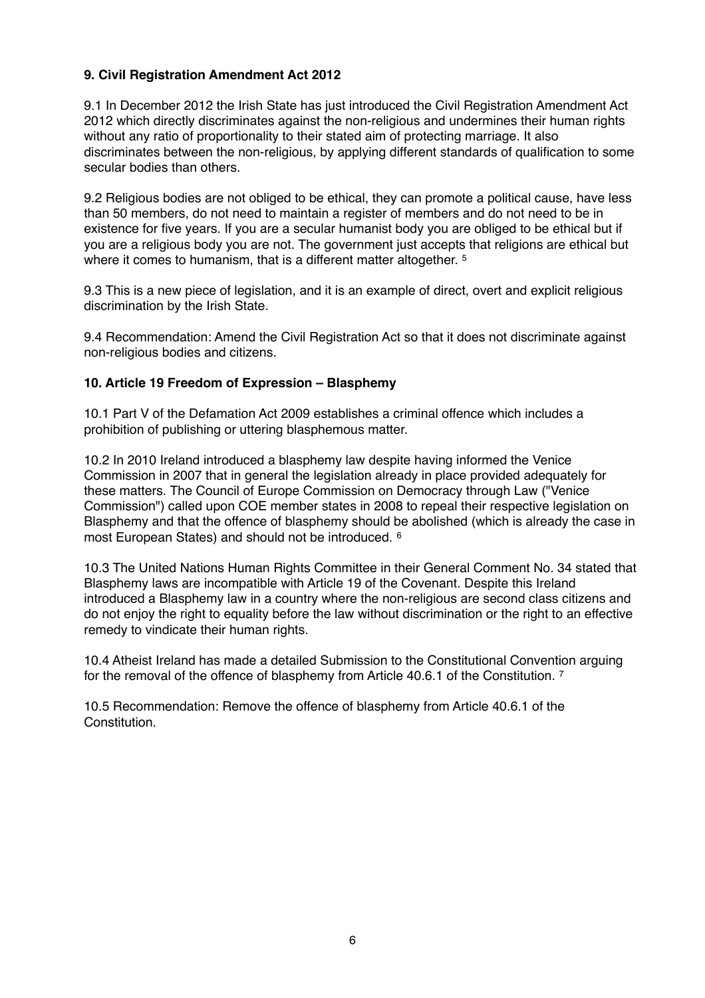## **9. Civil Registration Amendment Act 2012**

9.1 In December 2012 the Irish State has just introduced the Civil Registration Amendment Act 2012 which directly discriminates against the non-religious and undermines their human rights without any ratio of proportionality to their stated aim of protecting marriage. It also discriminates between the non-religious, by applying different standards of qualification to some secular bodies than others.

9.2 Religious bodies are not obliged to be ethical, they can promote a political cause, have less than 50 members, do not need to maintain a register of members and do not need to be in existence for five years. If you are a secular humanist body you are obliged to be ethical but if you are a religious body you are not. The government just accepts that religions are ethical but where it comes to humanism, that is a different matter altogether.<sup>[5](#page-6-4)</sup>

9.3 This is a new piece of legislation, and it is an example of direct, overt and explicit religious discrimination by the Irish State.

9.4 Recommendation: Amend the Civil Registration Act so that it does not discriminate against non-religious bodies and citizens.

#### **10. Article 19 Freedom of Expression – Blasphemy**

10.1 Part V of the Defamation Act 2009 establishes a criminal offence which includes a prohibition of publishing or uttering blasphemous matter.

10.2 In 2010 Ireland introduced a blasphemy law despite having informed the Venice Commission in 2007 that in general the legislation already in place provided adequately for these matters. The Council of Europe Commission on Democracy through Law ("Venice Commission") called upon COE member states in 2008 to repeal their respective legislation on Blasphemy and that the offence of blasphemy should be abolished (which is already the case in most European States) and should not be introduced. [6](#page-6-5)

10.3 The United Nations Human Rights Committee in their General Comment No. 34 stated that Blasphemy laws are incompatible with Article 19 of the Covenant. Despite this Ireland introduced a Blasphemy law in a country where the non-religious are second class citizens and do not enjoy the right to equality before the law without discrimination or the right to an effective remedy to vindicate their human rights.

10.4 Atheist Ireland has made a detailed Submission to the Constitutional Convention arguing for the removal of the offence of blasphemy from Article 40.6.1 of the Constitution. [7](#page-6-6)

10.5 Recommendation: Remove the offence of blasphemy from Article 40.6.1 of the Constitution.